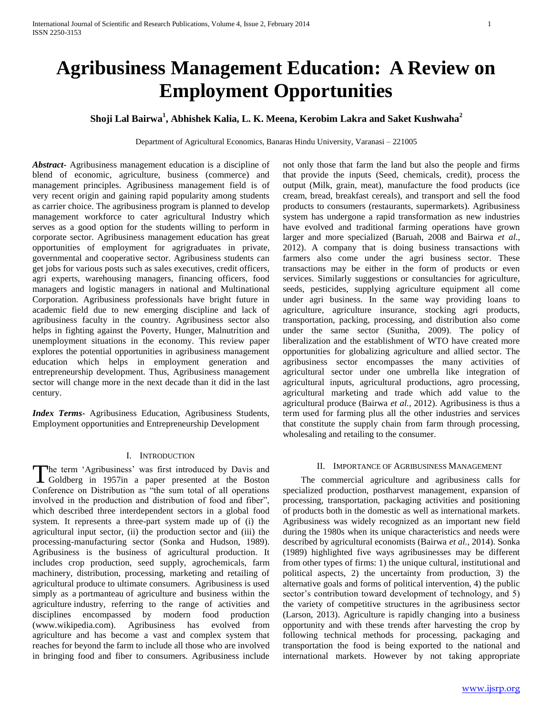# **Agribusiness Management Education: A Review on Employment Opportunities**

## **Shoji Lal Bairwa<sup>1</sup> , Abhishek Kalia, L. K. Meena, Kerobim Lakra and Saket Kushwaha<sup>2</sup>**

Department of Agricultural Economics, Banaras Hindu University, Varanasi – 221005

*Abstract***-** Agribusiness management education is a discipline of blend of economic, agriculture, business (commerce) and management principles. Agribusiness management field is of very recent origin and gaining rapid popularity among students as carrier choice. The agribusiness program is planned to develop management workforce to cater agricultural Industry which serves as a good option for the students willing to perform in corporate sector. Agribusiness management education has great opportunities of employment for agrigraduates in private, governmental and cooperative sector. Agribusiness students can get jobs for various posts such as sales executives, credit officers, agri experts, warehousing managers, financing officers, food managers and logistic managers in national and Multinational Corporation. Agribusiness professionals have bright future in academic field due to new emerging discipline and lack of agribusiness faculty in the country. Agribusiness sector also helps in fighting against the Poverty, Hunger, Malnutrition and unemployment situations in the economy. This review paper explores the potential opportunities in agribusiness management education which helps in employment generation and entrepreneurship development. Thus, Agribusiness management sector will change more in the next decade than it did in the last century.

*Index Terms*- Agribusiness Education, Agribusiness Students, Employment opportunities and Entrepreneurship Development

### I. INTRODUCTION

he term 'Agribusiness' was first introduced by Davis and The term 'Agribusiness' was first introduced by Davis and Goldberg in 1957in a paper presented at the Boston Conference on Distribution as "the sum total of all operations involved in the production and distribution of food and fiber", which described three interdependent sectors in a global food system. It represents a three-part system made up of (i) the agricultural input sector, (ii) the production sector and (iii) the processing-manufacturing sector (Sonka and Hudson, 1989). Agribusiness is the business of agricultural production. It includes crop production, seed supply, agrochemicals, farm machinery, distribution, processing, marketing and retailing of agricultural produce to ultimate consumers. Agribusiness is used simply as a portmanteau of agriculture and business within the agriculture industry, referring to the range of activities and disciplines encompassed by modern food production (www.wikipedia.com). Agribusiness has evolved from agriculture and has become a vast and complex system that reaches for beyond the farm to include all those who are involved in bringing food and fiber to consumers. Agribusiness include

not only those that farm the land but also the people and firms that provide the inputs (Seed, chemicals, credit), process the output (Milk, grain, meat), manufacture the food products (ice cream, bread, breakfast cereals), and transport and sell the food products to consumers (restaurants, supermarkets). Agribusiness system has undergone a rapid transformation as new industries have evolved and traditional farming operations have grown larger and more specialized (Baruah, 2008 and Bairwa *et al.,* 2012). A company that is doing business transactions with farmers also come under the agri business sector. These transactions may be either in the form of products or even services. Similarly suggestions or consultancies for agriculture, seeds, pesticides, supplying agriculture equipment all come under agri business. In the same way providing loans to agriculture, agriculture insurance, stocking agri products, transportation, packing, processing, and distribution also come under the same sector (Sunitha, 2009). The policy of liberalization and the establishment of WTO have created more opportunities for globalizing agriculture and allied sector. The agribusiness sector encompasses the many activities of agricultural sector under one umbrella like integration of agricultural inputs, agricultural productions, agro processing, agricultural marketing and trade which add value to the agricultural produce (Bairwa *et al.,* 2012). Agribusiness is thus a term used for farming plus all the other industries and services that constitute the supply chain from farm through processing, wholesaling and retailing to the consumer.

#### II. IMPORTANCE OF AGRIBUSINESS MANAGEMENT

 The commercial agriculture and agribusiness calls for specialized production, postharvest management, expansion of processing, transportation, packaging activities and positioning of products both in the domestic as well as international markets. Agribusiness was widely recognized as an important new field during the 1980s when its unique characteristics and needs were described by agricultural economists (Bairwa *et al.,* 2014). Sonka (1989) highlighted five ways agribusinesses may be different from other types of firms: 1) the unique cultural, institutional and political aspects, 2) the uncertainty from production, 3) the alternative goals and forms of political intervention, 4) the public sector's contribution toward development of technology, and 5) the variety of competitive structures in the agribusiness sector (Larson, 2013). Agriculture is rapidly changing into a business opportunity and with these trends after harvesting the crop by following technical methods for processing, packaging and transportation the food is being exported to the national and international markets. However by not taking appropriate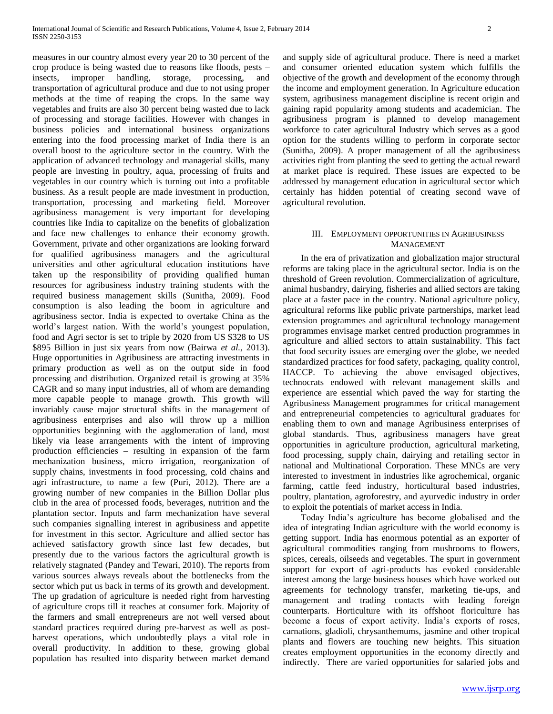measures in our country almost every year 20 to 30 percent of the crop produce is being wasted due to reasons like floods, pests – insects, improper handling, storage, processing, and transportation of agricultural produce and due to not using proper methods at the time of reaping the crops. In the same way vegetables and fruits are also 30 percent being wasted due to lack of processing and storage facilities. However with changes in business policies and international business organizations entering into the food processing market of India there is an overall boost to the agriculture sector in the country. With the application of advanced technology and managerial skills, many people are investing in poultry, aqua, processing of fruits and vegetables in our country which is turning out into a profitable business. As a result people are made investment in production, transportation, processing and marketing field. Moreover agribusiness management is very important for developing countries like India to capitalize on the benefits of globalization and face new challenges to enhance their economy growth. Government, private and other organizations are looking forward for qualified agribusiness managers and the agricultural universities and other agricultural education institutions have taken up the responsibility of providing qualified human resources for agribusiness industry training students with the required business management skills (Sunitha, 2009). Food consumption is also leading the boom in agriculture and agribusiness sector. India is expected to overtake China as the world's largest nation. With the world's youngest population, food and Agri sector is set to triple by 2020 from US \$328 to US \$895 Billion in just six years from now (Bairwa *et al.,* 2013). Huge opportunities in Agribusiness are attracting investments in primary production as well as on the output side in food processing and distribution. Organized retail is growing at 35% CAGR and so many input industries, all of whom are demanding more capable people to manage growth. This growth will invariably cause major structural shifts in the management of agribusiness enterprises and also will throw up a million opportunities beginning with the agglomeration of land, most likely via lease arrangements with the intent of improving production efficiencies – resulting in expansion of the farm mechanization business, micro irrigation, reorganization of supply chains, investments in food processing, cold chains and agri infrastructure, to name a few (Puri, 2012). There are a growing number of new companies in the Billion Dollar plus club in the area of processed foods, beverages, nutrition and the plantation sector. Inputs and farm mechanization have several such companies signalling interest in agribusiness and appetite for investment in this sector. Agriculture and allied sector has achieved satisfactory growth since last few decades, but presently due to the various factors the agricultural growth is relatively stagnated (Pandey and Tewari, 2010). The reports from various sources always reveals about the bottlenecks from the sector which put us back in terms of its growth and development. The up gradation of agriculture is needed right from harvesting of agriculture crops till it reaches at consumer fork. Majority of the farmers and small entrepreneurs are not well versed about standard practices required during pre-harvest as well as postharvest operations, which undoubtedly plays a vital role in overall productivity. In addition to these, growing global population has resulted into disparity between market demand

and supply side of agricultural produce. There is need a market and consumer oriented education system which fulfills the objective of the growth and development of the economy through the income and employment generation. In Agriculture education system, agribusiness management discipline is recent origin and gaining rapid popularity among students and academician. The agribusiness program is planned to develop management workforce to cater agricultural Industry which serves as a good option for the students willing to perform in corporate sector

(Sunitha, 2009). A proper management of all the agribusiness activities right from planting the seed to getting the actual reward at market place is required. These issues are expected to be addressed by management education in agricultural sector which certainly has hidden potential of creating second wave of agricultural revolution.

#### III. EMPLOYMENT OPPORTUNITIES IN AGRIBUSINESS MANAGEMENT

 In the era of privatization and globalization major structural reforms are taking place in the agricultural sector. India is on the threshold of Green revolution. Commercialization of agriculture, animal husbandry, dairying, fisheries and allied sectors are taking place at a faster pace in the country. National agriculture policy, agricultural reforms like public private partnerships, market lead extension programmes and agricultural technology management programmes envisage market centred production programmes in agriculture and allied sectors to attain sustainability. This fact that food security issues are emerging over the globe, we needed standardized practices for food safety, packaging, quality control, HACCP. To achieving the above envisaged objectives, technocrats endowed with relevant management skills and experience are essential which paved the way for starting the Agribusiness Management programmes for critical management and entrepreneurial competencies to agricultural graduates for enabling them to own and manage Agribusiness enterprises of global standards. Thus, agribusiness managers have great opportunities in agriculture production, agricultural marketing, food processing, supply chain, dairying and retailing sector in national and Multinational Corporation. These MNCs are very interested to investment in industries like agrochemical, organic farming, cattle feed industry, horticultural based industries, poultry, plantation, agroforestry, and ayurvedic industry in order to exploit the potentials of market access in India.

 Today India's agriculture has become globalised and the idea of integrating Indian agriculture with the world economy is getting support. India has enormous potential as an exporter of agricultural commodities ranging from mushrooms to flowers, spices, cereals, oilseeds and vegetables. The spurt in government support for export of agri-products has evoked considerable interest among the large business houses which have worked out agreements for technology transfer, marketing tie-ups, and management and trading contacts with leading foreign counterparts. Horticulture with its offshoot floriculture has become a focus of export activity. India's exports of roses, carnations, gladioli, chrysanthemums, jasmine and other tropical plants and flowers are touching new heights. This situation creates employment opportunities in the economy directly and indirectly. There are varied opportunities for salaried jobs and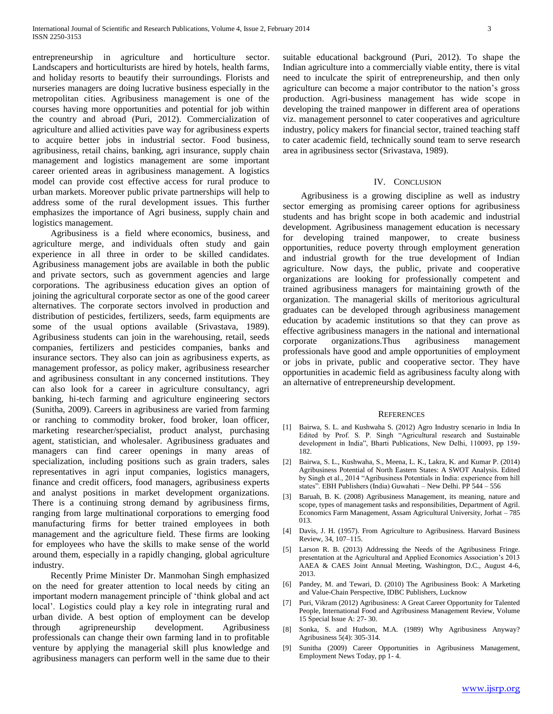entrepreneurship in agriculture and horticulture sector. Landscapers and horticulturists are hired by hotels, health farms, and holiday resorts to beautify their surroundings. Florists and nurseries managers are doing lucrative business especially in the metropolitan cities. Agribusiness management is one of the courses having more opportunities and potential for job within the country and abroad (Puri, 2012). Commercialization of agriculture and allied activities pave way for agribusiness experts to acquire better jobs in industrial sector. Food business, agribusiness, retail chains, banking, agri insurance, supply chain management and logistics management are some important career oriented areas in agribusiness management. A logistics model can provide cost effective access for rural produce to urban markets. Moreover public private partnerships will help to address some of the rural development issues. This further emphasizes the importance of Agri business, supply chain and logistics management.

 Agribusiness is a field where economics, business, and agriculture merge, and individuals often study and gain experience in all three in order to be skilled candidates. Agribusiness management jobs are available in both the public and private sectors, such as government agencies and large corporations. The agribusiness education gives an option of joining the agricultural corporate sector as one of the good career alternatives. The corporate sectors involved in production and distribution of pesticides, fertilizers, seeds, farm equipments are some of the usual options available (Srivastava, 1989). Agribusiness students can join in the warehousing, retail, seeds companies, fertilizers and pesticides companies, banks and insurance sectors. They also can join as agribusiness experts, as management professor, as policy maker, agribusiness researcher and agribusiness consultant in any concerned institutions. They can also look for a career in agriculture consultancy, agri banking, hi-tech farming and agriculture engineering sectors (Sunitha, 2009). Careers in agribusiness are varied from farming or ranching to commodity broker, food broker, loan officer, marketing researcher/specialist, product analyst, purchasing agent, statistician, and wholesaler. Agribusiness graduates and managers can find career openings in many areas of specialization, including positions such as grain traders, sales representatives in agri input companies, logistics managers, finance and credit officers, food managers, agribusiness experts and analyst positions in market development organizations. There is a continuing strong demand by agribusiness firms, ranging from large multinational corporations to emerging food manufacturing firms for better trained employees in both management and the agriculture field. These firms are looking for employees who have the skills to make sense of the world around them, especially in a rapidly changing, global agriculture industry.

 Recently Prime Minister Dr. Manmohan Singh emphasized on the need for greater attention to local needs by citing an important modern management principle of 'think global and act local'. Logistics could play a key role in integrating rural and urban divide. A best option of employment can be develop through agripreneurship development. Agribusiness professionals can change their own farming land in to profitable venture by applying the managerial skill plus knowledge and agribusiness managers can perform well in the same due to their suitable educational background (Puri, 2012). To shape the Indian agriculture into a commercially viable entity, there is vital need to inculcate the spirit of entrepreneurship, and then only agriculture can become a major contributor to the nation's gross production. Agri-business management has wide scope in developing the trained manpower in different area of operations viz. management personnel to cater cooperatives and agriculture industry, policy makers for financial sector, trained teaching staff to cater academic field, technically sound team to serve research area in agribusiness sector (Srivastava, 1989).

#### IV. CONCLUSION

 Agribusiness is a growing discipline as well as industry sector emerging as promising career options for agribusiness students and has bright scope in both academic and industrial development. Agribusiness management education is necessary for developing trained manpower, to create business opportunities, reduce poverty through employment generation and industrial growth for the true development of Indian agriculture. Now days, the public, private and cooperative organizations are looking for professionally competent and trained agribusiness managers for maintaining growth of the organization. The managerial skills of meritorious agricultural graduates can be developed through agribusiness management education by academic institutions so that they can prove as effective agribusiness managers in the national and international corporate organizations.Thus agribusiness management professionals have good and ample opportunities of employment or jobs in private, public and cooperative sector. They have opportunities in academic field as agribusiness faculty along with an alternative of entrepreneurship development.

#### **REFERENCES**

- [1] Bairwa, S. L. and Kushwaha S. (2012) Agro Industry scenario in India In Edited by Prof. S. P. Singh "Agricultural research and Sustainable development in India", Bharti Publications, New Delhi, 110093, pp 159- 182.
- [2] Bairwa, S. L., Kushwaha, S., Meena, L. K., Lakra, K. and Kumar P. (2014) Agribusiness Potential of North Eastern States: A SWOT Analysis. Edited by Singh et al., 2014 "Agribusiness Potentials in India: experience from hill states". EBH Publishers (India) Guwahati – New Delhi. PP 544 – 556
- [3] Baruah, B. K. (2008) Agribusiness Management, its meaning, nature and scope, types of management tasks and responsibilities, Department of Agril. Economics Farm Management, Assam Agricultural University, Jorhat – 785 013.
- [4] Davis, J. H. (1957). From Agriculture to Agribusiness. Harvard Business Review, 34, 107–115.
- Larson R. B. (2013) Addressing the Needs of the Agribusiness Fringe. presentation at the Agricultural and Applied Economics Association's 2013 AAEA & CAES Joint Annual Meeting, Washington, D.C., August 4-6, 2013.
- [6] Pandey, M. and Tewari, D. (2010) The Agribusiness Book: A Marketing and Value-Chain Perspective, IDBC Publishers, Lucknow
- [7] Puri, Vikram (2012) Agribusiness: A Great Career Opportunity for Talented People, International Food and Agribusiness Management Review, Volume 15 Special Issue A: 27- 30.
- [8] Sonka, S. and Hudson, M.A. (1989) Why Agribusiness Anyway? Agribusiness 5(4): 305-314.
- [9] Sunitha (2009) Career Opportunities in Agribusiness Management, Employment News Today, pp 1- 4.